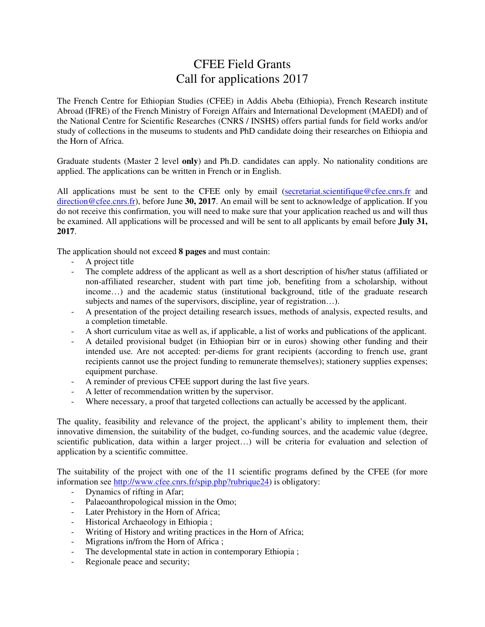## CFEE Field Grants Call for applications 2017

The French Centre for Ethiopian Studies (CFEE) in Addis Abeba (Ethiopia), French Research institute Abroad (IFRE) of the French Ministry of Foreign Affairs and International Development (MAEDI) and of the National Centre for Scientific Researches (CNRS / INSHS) offers partial funds for field works and/or study of collections in the museums to students and PhD candidate doing their researches on Ethiopia and the Horn of Africa.

Graduate students (Master 2 level **only**) and Ph.D. candidates can apply. No nationality conditions are applied. The applications can be written in French or in English.

All applications must be sent to the CFEE only by email (secretariat.scientifique@cfee.cnrs.fr and direction@cfee.cnrs.fr), before June **30, 2017**. An email will be sent to acknowledge of application. If you do not receive this confirmation, you will need to make sure that your application reached us and will thus be examined. All applications will be processed and will be sent to all applicants by email before **July 31, 2017**.

The application should not exceed **8 pages** and must contain:

- A project title<br>- The complete
- The complete address of the applicant as well as a short description of his/her status (affiliated or non-affiliated researcher, student with part time job, benefiting from a scholarship, without income…) and the academic status (institutional background, title of the graduate research subjects and names of the supervisors, discipline, year of registration…).
- A presentation of the project detailing research issues, methods of analysis, expected results, and a completion timetable.
- A short curriculum vitae as well as, if applicable, a list of works and publications of the applicant.
- A detailed provisional budget (in Ethiopian birr or in euros) showing other funding and their intended use. Are not accepted: per-diems for grant recipients (according to french use, grant recipients cannot use the project funding to remunerate themselves); stationery supplies expenses; equipment purchase.
- A reminder of previous CFEE support during the last five years.
- A letter of recommendation written by the supervisor.
- Where necessary, a proof that targeted collections can actually be accessed by the applicant.

The quality, feasibility and relevance of the project, the applicant's ability to implement them, their innovative dimension, the suitability of the budget, co-funding sources, and the academic value (degree, scientific publication, data within a larger project…) will be criteria for evaluation and selection of application by a scientific committee.

The suitability of the project with one of the 11 scientific programs defined by the CFEE (for more information see http://www.cfee.cnrs.fr/spip.php?rubrique24) is obligatory:

- Dynamics of rifting in Afar;
- Palaeoanthropological mission in the Omo;
- Later Prehistory in the Horn of Africa;
- Historical Archaeology in Ethiopia ;
- Writing of History and writing practices in the Horn of Africa;
- Migrations in/from the Horn of Africa ;
- The developmental state in action in contemporary Ethiopia ;
- Regionale peace and security;